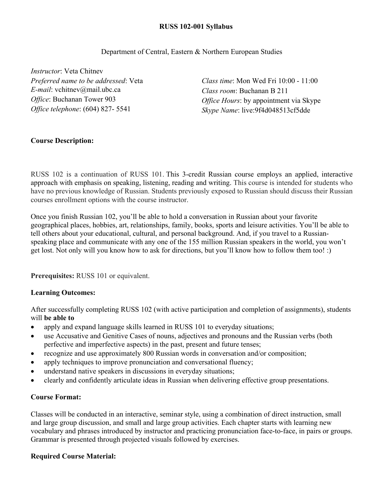## **RUSS 102-001 Syllabus**

### Department of Central, Eastern & Northern European Studies

*Instructor*: Veta Chitnev *Preferred name to be addressed*: Veta *E-mail*: vchitnev@mail.ubc.ca *Office*: Buchanan Tower 903 *Office telephone*: (604) 827- 5541

*Class time*: Mon Wed Fri 10:00 - 11:00 *Class room*: Buchanan B 211 *Office Hours*: by appointment via Skype *Skype Name*: live:9f4d048513cf5dde

# **Course Description:**

RUSS 102 is a continuation of RUSS 101. This 3-credit Russian course employs an applied, interactive approach with emphasis on speaking, listening, reading and writing. This course is intended for students who have no previous knowledge of Russian. Students previously exposed to Russian should discuss their Russian courses enrollment options with the course instructor.

Once you finish Russian 102, you'll be able to hold a conversation in Russian about your favorite geographical places, hobbies, art, relationships, family, books, sports and leisure activities. You'll be able to tell others about your educational, cultural, and personal background. And, if you travel to a Russianspeaking place and communicate with any one of the 155 million Russian speakers in the world, you won't get lost. Not only will you know how to ask for directions, but you'll know how to follow them too! :)

**Prerequisites:** RUSS 101 or equivalent.

### **Learning Outcomes:**

After successfully completing RUSS 102 (with active participation and completion of assignments), students will **be able to**

- apply and expand language skills learned in RUSS 101 to everyday situations;
- use Accusative and Genitive Cases of nouns, adjectives and pronouns and the Russian verbs (both perfective and imperfective aspects) in the past, present and future tenses;
- recognize and use approximately 800 Russian words in conversation and/or composition;
- apply techniques to improve pronunciation and conversational fluency;
- understand native speakers in discussions in everyday situations;
- clearly and confidently articulate ideas in Russian when delivering effective group presentations.

### **Course Format:**

Classes will be conducted in an interactive, seminar style, using a combination of direct instruction, small and large group discussion, and small and large group activities. Each chapter starts with learning new vocabulary and phrases introduced by instructor and practicing pronunciation face-to-face, in pairs or groups. Grammar is presented through projected visuals followed by exercises.

# **Required Course Material:**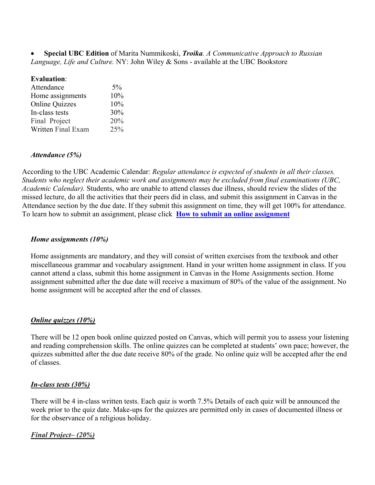• **Special UBC Edition** of Marita Nummikoski, *Troika. A Communicative Approach to Russian Language, Life and Culture.* NY: John Wiley & Sons - available at the UBC Bookstore

### **Evaluation**:

| 5%  |
|-----|
| 10% |
| 10% |
| 30% |
| 20% |
| 25% |
|     |

## *Attendance (5%)*

According to the UBC Academic Calendar: *Regular attendance is expected of students in all their classes. Students who neglect their academic work and assignments may be excluded from final examinations (UBC, Academic Calendar).* Students, who are unable to attend classes due illness, should review the slides of the missed lecture, do all the activities that their peers did in class, and submit this assignment in Canvas in the Attendance section by the due date. If they submit this assignment on time, they will get 100% for attendance. To learn how to submit an assignment, please click **[How to submit an online assignment](https://community.canvaslms.com/t5/Student-Guide/How-do-I-submit-an-online-assignment/ta-p/503)**

## *Home assignments (10%)*

Home assignments are mandatory, and they will consist of written exercises from the textbook and other miscellaneous grammar and vocabulary assignment. Hand in your written home assignment in class. If you cannot attend a class, submit this home assignment in Canvas in the Home Assignments section. Home assignment submitted after the due date will receive a maximum of 80% of the value of the assignment. No home assignment will be accepted after the end of classes.

### *Online quizzes (10%)*

There will be 12 open book online quizzed posted on Canvas, which will permit you to assess your listening and reading comprehension skills. The online quizzes can be completed at students' own pace; however, the quizzes submitted after the due date receive 80% of the grade. No online quiz will be accepted after the end of classes.

# *In-class tests (30%)*

There will be 4 in-class written tests. Each quiz is worth 7.5% Details of each quiz will be announced the week prior to the quiz date. Make-ups for the quizzes are permitted only in cases of documented illness or for the observance of a religious holiday.

# *Final Project– (20%)*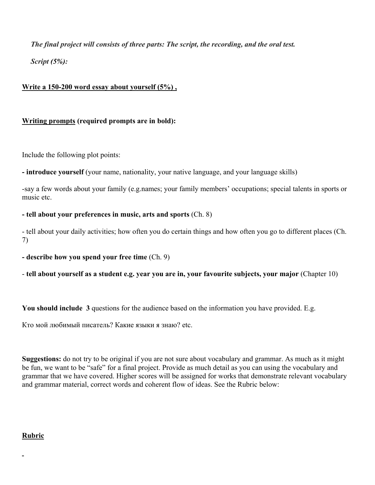*The final project will consists of three parts: The script, the recording, and the oral test. Script (5%):*

# **Write a 150-200 word essay about yourself (5%) ,**

# **Writing prompts (required prompts are in bold):**

Include the following plot points:

**- introduce yourself** (your name, nationality, your native language, and your language skills)

-say a few words about your family (e.g.names; your family members' occupations; special talents in sports or music etc.

## **- tell about your preferences in music, arts and sports** (Ch. 8)

- tell about your daily activities; how often you do certain things and how often you go to different places (Ch. 7)

**- describe how you spend your free time** (Ch. 9)

- **tell about yourself as a student e.g. year you are in, your favourite subjects, your major** (Chapter 10)

**You should include 3** questions for the audience based on the information you have provided. E.g.

Кто мой любимый писатель? Какие языки я знаю? etc.

**Suggestions:** do not try to be original if you are not sure about vocabulary and grammar. As much as it might be fun, we want to be "safe" for a final project. Provide as much detail as you can using the vocabulary and grammar that we have covered. Higher scores will be assigned for works that demonstrate relevant vocabulary and grammar material, correct words and coherent flow of ideas. See the Rubric below:

# **Rubric**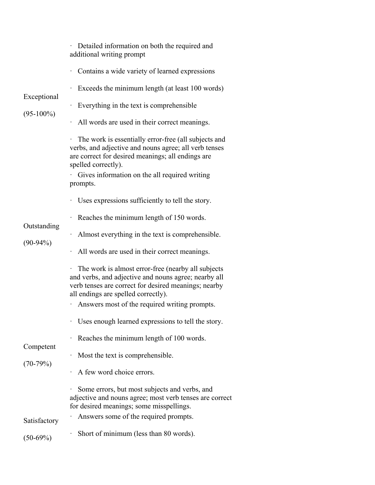| Exceptional<br>$(95-100\%)$              | Detailed information on both the required and<br>additional writing prompt                                                                                                                                |
|------------------------------------------|-----------------------------------------------------------------------------------------------------------------------------------------------------------------------------------------------------------|
|                                          | Contains a wide variety of learned expressions                                                                                                                                                            |
|                                          | Exceeds the minimum length (at least 100 words)                                                                                                                                                           |
|                                          | Everything in the text is comprehensible                                                                                                                                                                  |
|                                          | All words are used in their correct meanings.                                                                                                                                                             |
|                                          | The work is essentially error-free (all subjects and<br>verbs, and adjective and nouns agree; all verb tenses<br>are correct for desired meanings; all endings are<br>spelled correctly).                 |
|                                          | Gives information on the all required writing<br>prompts.                                                                                                                                                 |
|                                          | · Uses expressions sufficiently to tell the story.                                                                                                                                                        |
|                                          | Reaches the minimum length of 150 words.                                                                                                                                                                  |
| Outstanding                              | Almost everything in the text is comprehensible.                                                                                                                                                          |
| $(90-94%)$                               | All words are used in their correct meanings.                                                                                                                                                             |
|                                          | The work is almost error-free (nearby all subjects<br>and verbs, and adjective and nouns agree; nearby all<br>verb tenses are correct for desired meanings; nearby<br>all endings are spelled correctly). |
|                                          | Answers most of the required writing prompts.                                                                                                                                                             |
|                                          | Uses enough learned expressions to tell the story.                                                                                                                                                        |
| Competent                                | Reaches the minimum length of 100 words.                                                                                                                                                                  |
| $(70-79%)$<br>Satisfactory<br>$(50-69%)$ | Most the text is comprehensible.                                                                                                                                                                          |
|                                          | A few word choice errors.                                                                                                                                                                                 |
|                                          | Some errors, but most subjects and verbs, and<br>adjective and nouns agree; most verb tenses are correct<br>for desired meanings; some misspellings.                                                      |
|                                          | Answers some of the required prompts.                                                                                                                                                                     |
|                                          | Short of minimum (less than 80 words).                                                                                                                                                                    |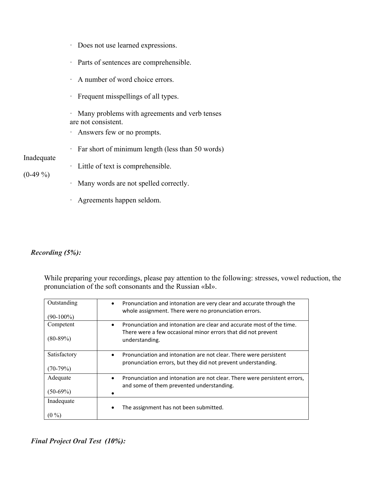- · Does not use learned expressions.
- · Parts of sentences are comprehensible.
- · A number of word choice errors.
- · Frequent misspellings of all types.
- · Many problems with agreements and verb tenses are not consistent.
- · Answers few or no prompts.
- · Far short of minimum length (less than 50 words)

### Inadequate

- $(0-49\%)$
- 

· Little of text is comprehensible.

- · Many words are not spelled correctly.
- · Agreements happen seldom.

#### *Recording (5%):*

While preparing your recordings, please pay attention to the following: stresses, vowel reduction, the pronunciation of the soft consonants and the Russian «Ы».

| Outstanding<br>$(90-100\%)$ | Pronunciation and intonation are very clear and accurate through the<br>$\bullet$<br>whole assignment. There were no pronunciation errors.                            |
|-----------------------------|-----------------------------------------------------------------------------------------------------------------------------------------------------------------------|
| Competent<br>$(80-89%)$     | Pronunciation and intonation are clear and accurate most of the time.<br>$\bullet$<br>There were a few occasional minor errors that did not prevent<br>understanding. |
| Satisfactory<br>$(70-79%)$  | Pronunciation and intonation are not clear. There were persistent<br>٠<br>pronunciation errors, but they did not prevent understanding.                               |
| Adequate<br>$(50-69%)$      | Pronunciation and intonation are not clear. There were persistent errors,<br>$\bullet$<br>and some of them prevented understanding.                                   |
| Inadequate<br>$(0\,\% )$    | The assignment has not been submitted.                                                                                                                                |

## *Final Project Oral Test (10%):*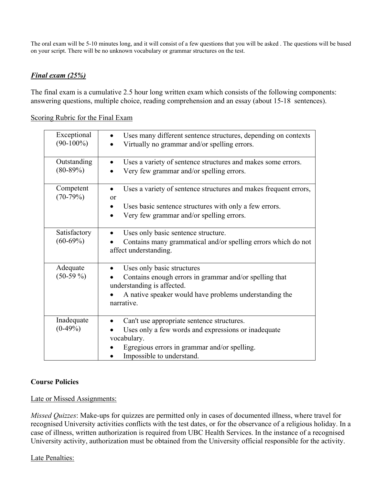The oral exam will be 5-10 minutes long, and it will consist of a few questions that you will be asked . The questions will be based on your script. There will be no unknown vocabulary or grammar structures on the test.

# *Final exam (25%)*

The final exam is a cumulative 2.5 hour long written exam which consists of the following components: answering questions, multiple choice, reading comprehension and an essay (about 15-18 sentences).

## Scoring Rubric for the Final Exam

| Exceptional<br>$(90-100\%)$ | Uses many different sentence structures, depending on contexts<br>Virtually no grammar and/or spelling errors.                                                                                |
|-----------------------------|-----------------------------------------------------------------------------------------------------------------------------------------------------------------------------------------------|
| Outstanding<br>$(80-89%)$   | Uses a variety of sentence structures and makes some errors.<br>Very few grammar and/or spelling errors.                                                                                      |
| Competent<br>$(70-79%)$     | Uses a variety of sentence structures and makes frequent errors,<br>or<br>Uses basic sentence structures with only a few errors.<br>Very few grammar and/or spelling errors.<br>$\bullet$     |
| Satisfactory<br>$(60-69%)$  | Uses only basic sentence structure.<br>Contains many grammatical and/or spelling errors which do not<br>affect understanding.                                                                 |
| Adequate<br>$(50-59\%)$     | Uses only basic structures<br>Contains enough errors in grammar and/or spelling that<br>understanding is affected.<br>A native speaker would have problems understanding the<br>narrative.    |
| Inadequate<br>$(0-49%)$     | Can't use appropriate sentence structures.<br>Uses only a few words and expressions or inadequate<br>vocabulary.<br>Egregious errors in grammar and/or spelling.<br>Impossible to understand. |

# **Course Policies**

# Late or Missed Assignments:

*Missed Quizzes*: Make-ups for quizzes are permitted only in cases of documented illness, where travel for recognised University activities conflicts with the test dates, or for the observance of a religious holiday. In a case of illness, written authorization is required from UBC Health Services. In the instance of a recognised University activity, authorization must be obtained from the University official responsible for the activity.

# Late Penalties: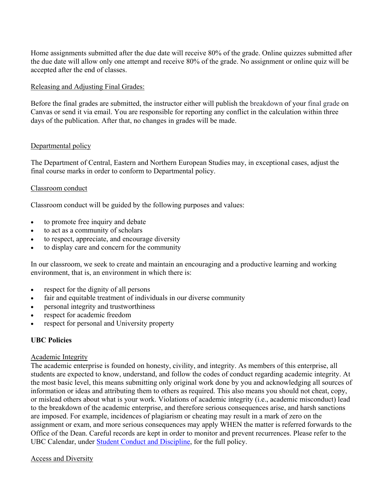Home assignments submitted after the due date will receive 80% of the grade. Online quizzes submitted after the due date will allow only one attempt and receive 80% of the grade. No assignment or online quiz will be accepted after the end of classes.

## Releasing and Adjusting Final Grades:

Before the final grades are submitted, the instructor either will publish the breakdown of your final grade on Canvas or send it via email. You are responsible for reporting any conflict in the calculation within three days of the publication. After that, no changes in grades will be made.

## Departmental policy

The Department of Central, Eastern and Northern European Studies may, in exceptional cases, adjust the final course marks in order to conform to Departmental policy.

## Classroom conduct

Classroom conduct will be guided by the following purposes and values:

- to promote free inquiry and debate
- to act as a community of scholars
- to respect, appreciate, and encourage diversity
- to display care and concern for the community

In our classroom, we seek to create and maintain an encouraging and a productive learning and working environment, that is, an environment in which there is:

- respect for the dignity of all persons
- fair and equitable treatment of individuals in our diverse community
- personal integrity and trustworthiness
- respect for academic freedom
- respect for personal and University property

# **UBC Policies**

### Academic Integrity

The academic enterprise is founded on honesty, civility, and integrity. As members of this enterprise, all students are expected to know, understand, and follow the codes of conduct regarding academic integrity. At the most basic level, this means submitting only original work done by you and acknowledging all sources of information or ideas and attributing them to others as required. This also means you should not cheat, copy, or mislead others about what is your work. Violations of academic integrity (i.e., academic misconduct) lead to the breakdown of the academic enterprise, and therefore serious consequences arise, and harsh sanctions are imposed. For example, incidences of plagiarism or cheating may result in a mark of zero on the assignment or exam, and more serious consequences may apply WHEN the matter is referred forwards to the Office of the Dean. Careful records are kept in order to monitor and prevent recurrences. Please refer to the UBC Calendar, under [Student Conduct and Discipline,](http://www.calendar.ubc.ca/vancouver/index.cfm?tree=3,54,111,0) for the full policy.

### Access and Diversity